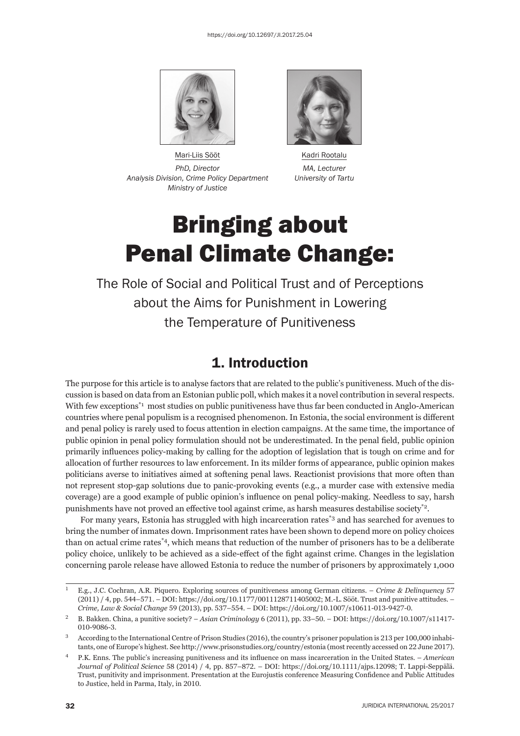

Mari-Liis Sööt Kadri Rootalu *PhD, Director MA, Lecturer Analysis Division, Crime Policy Department University of Tartu Ministry of Justice* 



# Bringing about Penal Climate Change:

The Role of Social and Political Trust and of Perceptions about the Aims for Punishment in Lowering the Temperature of Punitiveness

# 1. Introduction

The purpose for this article is to analyse factors that are related to the public's punitiveness. Much of the discussion is based on data from an Estonian public poll, which makes it a novel contribution in several respects. With few exceptions<sup>\*1</sup> most studies on public punitiveness have thus far been conducted in Anglo-American countries where penal populism is a recognised phenomenon. In Estonia, the social environment is different and penal policy is rarely used to focus attention in election campaigns. At the same time, the importance of public opinion in penal policy formulation should not be underestimated. In the penal field, public opinion primarily influences policy-making by calling for the adoption of legislation that is tough on crime and for allocation of further resources to law enforcement. In its milder forms of appearance, public opinion makes politicians averse to initiatives aimed at softening penal laws. Reactionist provisions that more often than not represent stop-gap solutions due to panic-provoking events (e.g., a murder case with extensive media coverage) are a good example of public opinion's influence on penal policy-making. Needless to say, harsh punishments have not proved an effective tool against crime, as harsh measures destabilise society\*2.

For many years, Estonia has struggled with high incarceration rates\*3 and has searched for avenues to bring the number of inmates down. Imprisonment rates have been shown to depend more on policy choices than on actual crime rates\*4, which means that reduction of the number of prisoners has to be a deliberate policy choice, unlikely to be achieved as a side-effect of the fight against crime. Changes in the legislation concerning parole release have allowed Estonia to reduce the number of prisoners by approximately 1,000

E.g., J.C. Cochran, A.R. Piquero. Exploring sources of punitiveness among German citizens. – *Crime & Delinquency* 57 (2011) / 4, pp. 544-571. – DOI: https://doi.org/10.1177/0011128711405002; M.-L. Sööt. Trust and punitive attitudes. – *Crime, Law & Social Change* 59 (2013), pp. 537–554. – DOI: https://doi.org/10.1007/s10611-013-9427-0.

<sup>&</sup>lt;sup>2</sup> B. Bakken. China, a punitive society? – *Asian Criminology* 6 (2011), pp. 33–50. – DOI: https://doi.org/10.1007/s11417-010-9086-3.

 $3$  According to the International Centre of Prison Studies (2016), the country's prisoner population is 213 per 100,000 inhabitants, one of Europe's highest. See http://www.prisonstudies.org/country/estonia (most recently accessed on 22 June 2017).

<sup>ɵ</sup> P.K. Enns. The public's increasing punitiveness and its infl uence on mass incarceration in the United States. – *American Journal of Political Science* 58 (2014) / 4, pp. 857-872. – DOI: https://doi.org/10.1111/ajps.12098; T. Lappi-Seppälä. Trust, punitivity and imprisonment. Presentation at the Eurojustis conference Measuring Confidence and Public Attitudes to Justice, held in Parma, Italy, in 2010.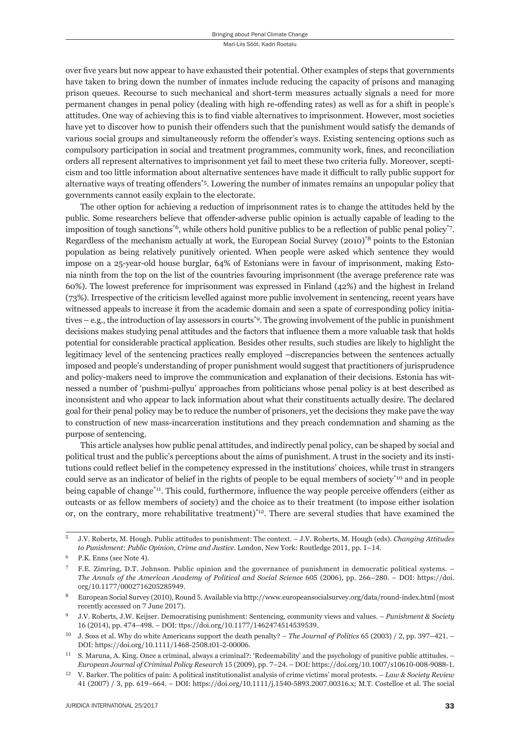over five years but now appear to have exhausted their potential. Other examples of steps that governments have taken to bring down the number of inmates include reducing the capacity of prisons and managing prison queues. Recourse to such mechanical and short-term measures actually signals a need for more permanent changes in penal policy (dealing with high re-offending rates) as well as for a shift in people's attitudes. One way of achieving this is to find viable alternatives to imprisonment. However, most societies have yet to discover how to punish their offenders such that the punishment would satisfy the demands of various social groups and simultaneously reform the offender's ways. Existing sentencing options such as compulsory participation in social and treatment programmes, community work, fines, and reconciliation orders all represent alternatives to imprisonment yet fail to meet these two criteria fully. Moreover, scepticism and too little information about alternative sentences have made it difficult to rally public support for alternative ways of treating offenders<sup>\*5</sup>. Lowering the number of inmates remains an unpopular policy that governments cannot easily explain to the electorate.

The other option for achieving a reduction of imprisonment rates is to change the attitudes held by the public. Some researchers believe that offender-adverse public opinion is actually capable of leading to the imposition of tough sanctions<sup>\*6</sup>, while others hold punitive publics to be a reflection of public penal policy<sup>\*7</sup>. Regardless of the mechanism actually at work, the European Social Survey (2010)\*8 points to the Estonian population as being relatively punitively oriented. When people were asked which sentence they would impose on a 25-year-old house burglar, 64% of Estonians were in favour of imprisonment, making Estonia ninth from the top on the list of the countries favouring imprisonment (the average preference rate was 60%). The lowest preference for imprisonment was expressed in Finland (42%) and the highest in Ireland (73%). Irrespective of the criticism levelled against more public involvement in sentencing, recent years have witnessed appeals to increase it from the academic domain and seen a spate of corresponding policy initiatives – e.g., the introduction of lay assessors in courts\*9. The growing involvement of the public in punishment decisions makes studying penal attitudes and the factors that influence them a more valuable task that holds potential for considerable practical application. Besides other results, such studies are likely to highlight the legitimacy level of the sentencing practices really employed –discrepancies between the sentences actually imposed and people's understanding of proper punishment would suggest that practitioners of jurisprudence and policy-makers need to improve the communication and explanation of their decisions. Estonia has witnessed a number of 'pushmi-pullyu' approaches from politicians whose penal policy is at best described as inconsistent and who appear to lack information about what their constituents actually desire. The declared goal for their penal policy may be to reduce the number of prisoners, yet the decisions they make pave the way to construction of new mass-incarceration institutions and they preach condemnation and shaming as the purpose of sentencing.

This article analyses how public penal attitudes, and indirectly penal policy, can be shaped by social and political trust and the public's perceptions about the aims of punishment. A trust in the society and its institutions could reflect belief in the competency expressed in the institutions' choices, while trust in strangers could serve as an indicator of belief in the rights of people to be equal members of society\*10 and in people being capable of change<sup>\*11</sup>. This could, furthermore, influence the way people perceive offenders (either as outcasts or as fellow members of society) and the choice as to their treatment (to impose either isolation or, on the contrary, more rehabilitative treatment)<sup>\*12</sup>. There are several studies that have examined the

<sup>ɶ</sup> J.V. Roberts, M. Hough. Public attitudes to punishment: The context. – J.V. Roberts, M. Hough (eds). *Changing Attitudes to Punishment: Public Opinion, Crime and Justice.* London, New York: Routledge 2011, pp. 1–14.

P.K. Enns (see Note 4).

<sup>ɸ</sup> F.E. Zimring, D.T. Johnson. Public opinion and the governance of punishment in democratic political systems. – *The Annals of the American Academy of Political and Social Science* 605 (2006), pp. 266–280. – DOI: https://doi. org/10.1177/0002716205285949.

European Social Survey (2010), Round 5. Available via http://www.europeansocialsurvey.org/data/round-index.html (most recently accessed on  $7$  June 2017).

<sup>ɺ</sup> J.V. Roberts, J.W. Keijser. Democratising punishment: Sentencing, community views and values. – *Punishment & Society* 16 (2014), pp. 474-498. – DOI: ttps://doi.org/10.1177/1462474514539539.

<sup>&</sup>lt;sup>10</sup> J. Soss et al. Why do white Americans support the death penalty? – *The Journal of Politics* 65 (2003) / 2, pp. 397–421. – DOI: https://doi.org/10.1111/1468-2508.t01-2-00006.

ɲɲ S. Maruna, A. King. Once a criminal, always a criminal?: 'Redeemability' and the psychology of punitive public attitudes. – *European Journal of Criminal Policy Research* 15 (2009), pp. 7-24. – DOI: https://doi.org/10.1007/s10610-008-9088-1.

ɲɳ V. Barker. The politics of pain: A political institutionalist analysis of crime victims' moral protests. – *Law & Society Review* 41 (2007) / 3, pp. 619-664. – DOI: https://doi.org/10.1111/j.1540-5893.2007.00316.x; M.T. Costelloe et al. The social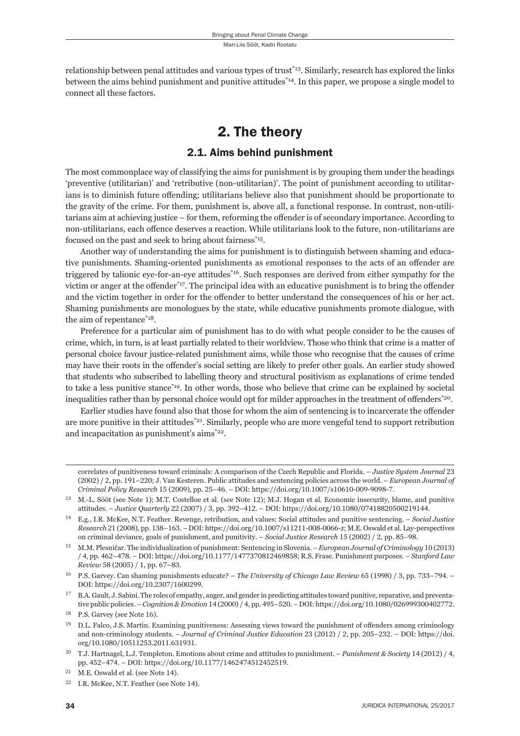relationship between penal attitudes and various types of trust\*13. Similarly, research has explored the links between the aims behind punishment and punitive attitudes<sup>\*14</sup>. In this paper, we propose a single model to connect all these factors.

# 2. The theory

## 2.1. Aims behind punishment

The most commonplace way of classifying the aims for punishment is by grouping them under the headings 'preventive (utilitarian)' and 'retributive (non-utilitarian)'. The point of punishment according to utilitarians is to diminish future offending; utilitarians believe also that punishment should be proportionate to the gravity of the crime. For them, punishment is, above all, a functional response. In contrast, non-utilitarians aim at achieving justice – for them, reforming the offender is of secondary importance. According to non-utilitarians, each offence deserves a reaction. While utilitarians look to the future, non-utilitarians are focused on the past and seek to bring about fairness\*15.

Another way of understanding the aims for punishment is to distinguish between shaming and educative punishments. Shaming-oriented punishments as emotional responses to the acts of an offender are triggered by talionic eye-for-an-eye attitudes\*16. Such responses are derived from either sympathy for the victim or anger at the offender<sup>\*17</sup>. The principal idea with an educative punishment is to bring the offender and the victim together in order for the offender to better understand the consequences of his or her act. Shaming punishments are monologues by the state, while educative punishments promote dialogue, with the aim of repentance<sup>\*18</sup>.

Preference for a particular aim of punishment has to do with what people consider to be the causes of crime, which, in turn, is at least partially related to their worldview. Those who think that crime is a matter of personal choice favour justice-related punishment aims, while those who recognise that the causes of crime may have their roots in the offender's social setting are likely to prefer other goals. An earlier study showed that students who subscribed to labelling theory and structural positivism as explanations of crime tended to take a less punitive stance\*19. In other words, those who believe that crime can be explained by societal inequalities rather than by personal choice would opt for milder approaches in the treatment of offenders  ${}^{*20}$ .

Earlier studies have found also that those for whom the aim of sentencing is to incarcerate the offender are more punitive in their attitudes<sup>\*21</sup>. Similarly, people who are more vengeful tend to support retribution and incapacitation as punishment's aims\*22.

correlates of punitiveness toward criminals: A comparison of the Czech Republic and Florida. – *Justice System Journal* 23 (ɳɱɱɳ) / ɳ, pp. ɲɺɲ–ɳɳɱ; J. Van Kesteren. Public attitudes and sentencing policies across the world. – *European Journal of Criminal Policy Research* 15 (2009), pp. 25-46. – DOI: https://doi.org/10.1007/s10610-009-9098-7.

<sup>&</sup>lt;sup>13</sup> M.-L. Sööt (see Note 1); M.T. Costelloe et al. (see Note 12); M.J. Hogan et al. Economic insecurity, blame, and punitive attitudes. *– Justice Quarterly* 22 (2007) / 3, pp. 392–412. – DOI: https://doi.org/10.1080/07418820500219144.

ɲɵ E.g., I.R. McKee, N.T. Feather. Revenge, retribution, and values: Social attitudes and punitive sentencing. – *Social Justice Research* 21 (2008), pp. 138-163. – DOI: https://doi.org/10.1007/s11211-008-0066-z; M.E. Oswald et al. Lay-perspectives on criminal deviance, goals of punishment, and punitivity. – *Social Justice Research* 15 (2002) / 2, pp. 85–98.

<sup>&</sup>lt;sup>15</sup> M.M. Plesničar. The individualization of punishment: Sentencing in Slovenia. – *European Journal of Criminology* 10(2013) / ɵ, pp. ɵɷɳ–ɵɸɹ. – DOI: https://doi.org/ɲɱ.ɲɲɸɸ/ɲɵɸɸɴɸɱɹɲɳɵɷɺɹɶɹ; R.S. Frase. Punishment purposes. – *Stanford Law Review* 58 (2005) / 1, pp. 67–83.

<sup>&</sup>lt;sup>16</sup> P.S. Garvey. Can shaming punishments educate? – *The University of Chicago Law Review* 65 (1998) / 3, pp. 733-794. – DOI: https://doi.org/10.2307/1600299.

<sup>&</sup>lt;sup>17</sup> B.A. Gault, J. Sabini. The roles of empathy, anger, and gender in predicting attitudes toward punitive, reparative, and preventative public policies. – *Cognition & Emotion* 14 (2000) / 4, pp. 495–520. – DOI: https://doi.org/10.1080/026999300402772.

 $18$  P.S. Garvey (see Note 16).

<sup>&</sup>lt;sup>19</sup> D.L. Falco, J.S. Martin. Examining punitiveness: Assessing views toward the punishment of offenders among criminology and non-criminology students. – *Journal of Criminal Justice Education* 23 (2012) / 2, pp. 205-232. – DOI: https://doi. org/10.1080/10511253.2011.631931.

<sup>&</sup>lt;sup>20</sup> T.J. Hartnagel, L.J. Templeton. Emotions about crime and attitudes to punishment. – *Punishment & Society* 14 (2012) / 4, pp. 452-474. - DOI: https://doi.org/10.1177/1462474512452519.

 $21$  M.E. Oswald et al. (see Note 14).

<sup>&</sup>lt;sup>22</sup> I.R. McKee, N.T. Feather (see Note 14).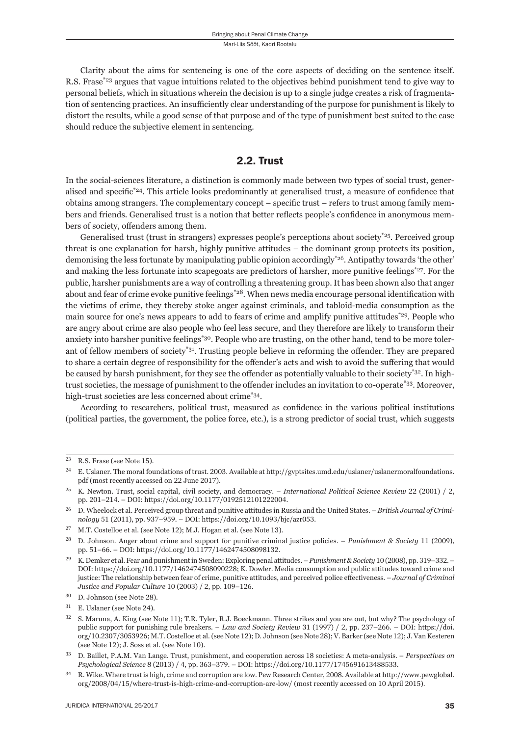Clarity about the aims for sentencing is one of the core aspects of deciding on the sentence itself. R.S. Frase<sup>\*23</sup> argues that vague intuitions related to the objectives behind punishment tend to give way to personal beliefs, which in situations wherein the decision is up to a single judge creates a risk of fragmentation of sentencing practices. An insufficiently clear understanding of the purpose for punishment is likely to distort the results, while a good sense of that purpose and of the type of punishment best suited to the case should reduce the subjective element in sentencing.

### 2.2. Trust

In the social-sciences literature, a distinction is commonly made between two types of social trust, generalised and specific<sup>\*24</sup>. This article looks predominantly at generalised trust, a measure of confidence that obtains among strangers. The complementary concept – specific trust – refers to trust among family members and friends. Generalised trust is a notion that better reflects people's confidence in anonymous members of society, offenders among them.

Generalised trust (trust in strangers) expresses people's perceptions about society\*25. Perceived group threat is one explanation for harsh, highly punitive attitudes – the dominant group protects its position, demonising the less fortunate by manipulating public opinion accordingly\*26. Antipathy towards 'the other' and making the less fortunate into scapegoats are predictors of harsher, more punitive feelings\*27. For the public, harsher punishments are a way of controlling a threatening group. It has been shown also that anger about and fear of crime evoke punitive feelings<sup>\*28</sup>. When news media encourage personal identification with the victims of crime, they thereby stoke anger against criminals, and tabloid-media consumption as the main source for one's news appears to add to fears of crime and amplify punitive attitudes<sup>\*29</sup>. People who are angry about crime are also people who feel less secure, and they therefore are likely to transform their anxiety into harsher punitive feelings\*30. People who are trusting, on the other hand, tend to be more tolerant of fellow members of society<sup>\*31</sup>. Trusting people believe in reforming the offender. They are prepared to share a certain degree of responsibility for the offender's acts and wish to avoid the suffering that would be caused by harsh punishment, for they see the offender as potentially valuable to their society\*32. In hightrust societies, the message of punishment to the offender includes an invitation to co-operate<sup>\*33</sup>. Moreover, high-trust societies are less concerned about crime\*34.

According to researchers, political trust, measured as confidence in the various political institutions (political parties, the government, the police force, etc.), is a strong predictor of social trust, which suggests

 $23$  R.S. Frase (see Note 15).

<sup>&</sup>lt;sup>24</sup> E. Uslaner. The moral foundations of trust. 2003. Available at http://gvptsites.umd.edu/uslaner/uslanermoralfoundations. pdf (most recently accessed on 22 June 2017).

<sup>&</sup>lt;sup>25</sup> K. Newton. Trust, social capital, civil society, and democracy. – *International Political Science Review* 22 (2001) / 2, pp. 201-214. – DOI: https://doi.org/10.1177/0192512101222004.

ɳɷ D. Wheelock et al. Perceived group threat and punitive attitudes in Russia and the United States. – *British Journal of Criminology* 51 (2011), pp. 937-959. – DOI: https://doi.org/10.1093/bjc/azr053.

 $27$  M.T. Costelloe et al. (see Note 12); M.J. Hogan et al. (see Note 13).

<sup>&</sup>lt;sup>28</sup> D. Johnson. Anger about crime and support for punitive criminal justice policies. – *Punishment & Society* 11 (2009), pp. 51–66. – DOI: https://doi.org/10.1177/1462474508098132.

<sup>&</sup>lt;sup>29</sup> K. Demker et al. Fear and punishment in Sweden: Exploring penal attitudes. – *Punishment & Society* 10 (2008), pp. 319–332. – DOI: https://doi.org/10.1177/1462474508090228; K. Dowler. Media consumption and public attitudes toward crime and justice: The relationship between fear of crime, punitive attitudes, and perceived police effectiveness. - *Journal of Criminal Justice and Popular Culture* 10 (2003) / 2, pp. 109-126.

<sup>&</sup>lt;sup>30</sup> D. Johnson (see Note 28).

<sup>&</sup>lt;sup>31</sup> E. Uslaner (see Note 24).

S. Maruna, A. King (see Note 11); T.R. Tyler, R.J. Boeckmann. Three strikes and you are out, but why? The psychology of public support for punishing rule breakers. – *Law and Society Review* 31 (1997) / 2, pp. 237–266. – DOI: https://doi. org/10.2307/3053926; M.T. Costelloe et al. (see Note 12); D. Johnson (see Note 28); V. Barker (see Note 12); J. Van Kesteren (see Note 12); J. Soss et al. (see Note 10).

<sup>33</sup> D. Baillet, P.A.M. Van Lange. Trust, punishment, and cooperation across 18 societies: A meta-analysis. – *Perspectives on* Psychological Science 8 (2013) / 4, pp. 363-379. - DOI: https://doi.org/10.1177/1745691613488533.

<sup>&</sup>lt;sup>34</sup> R. Wike. Where trust is high, crime and corruption are low. Pew Research Center, 2008. Available at http://www.pewglobal. org/2008/04/15/where-trust-is-high-crime-and-corruption-are-low/ (most recently accessed on 10 April 2015).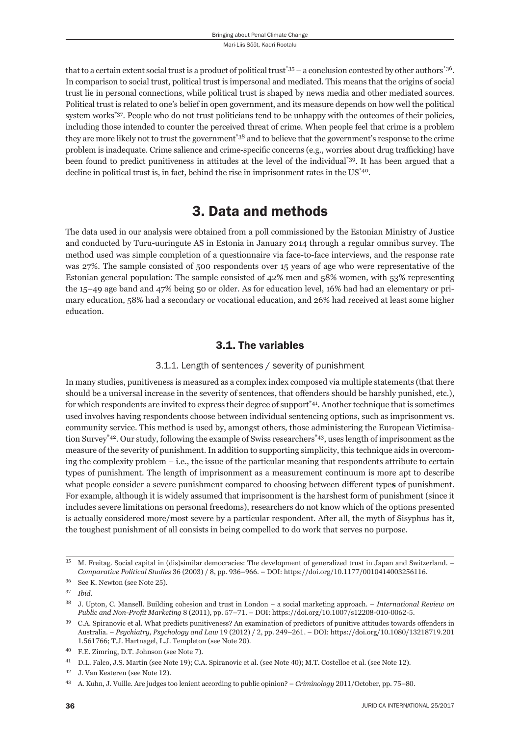that to a certain extent social trust is a product of political trust\*35 – a conclusion contested by other authors\*36. In comparison to social trust, political trust is impersonal and mediated. This means that the origins of social trust lie in personal connections, while political trust is shaped by news media and other mediated sources. Political trust is related to one's belief in open government, and its measure depends on how well the political system works<sup>\*37</sup>. People who do not trust politicians tend to be unhappy with the outcomes of their policies, including those intended to counter the perceived threat of crime. When people feel that crime is a problem they are more likely not to trust the government<sup>\*38</sup> and to believe that the government's response to the crime problem is inadequate. Crime salience and crime-specific concerns (e.g., worries about drug trafficking) have been found to predict punitiveness in attitudes at the level of the individual\*39. It has been argued that a decline in political trust is, in fact, behind the rise in imprisonment rates in the US\*40.

# 3. Data and methods

The data used in our analysis were obtained from a poll commissioned by the Estonian Ministry of Justice and conducted by Turu-uuringute AS in Estonia in January 2014 through a regular omnibus survey. The method used was simple completion of a questionnaire via face-to-face interviews, and the response rate was 27%. The sample consisted of 500 respondents over 15 years of age who were representative of the Estonian general population: The sample consisted of 42% men and 58% women, with 53% representing the 15–49 age band and 47% being 50 or older. As for education level, 16% had had an elementary or primary education, 58% had a secondary or vocational education, and 26% had received at least some higher education.

## 3.1. The variables

#### 3.1.1. Length of sentences / severity of punishment

In many studies, punitiveness is measured as a complex index composed via multiple statements (that there should be a universal increase in the severity of sentences, that offenders should be harshly punished, etc.), for which respondents are invited to express their degree of support\*41. Another technique that is sometimes used involves having respondents choose between individual sentencing options, such as imprisonment vs. community service. This method is used by, amongst others, those administering the European Victimisation Survey\*42. Our study, following the example of Swiss researchers\*43, uses length of imprisonment as the measure of the severity of punishment. In addition to supporting simplicity, this technique aids in overcoming the complexity problem – i.e., the issue of the particular meaning that respondents attribute to certain types of punishment. The length of imprisonment as a measurement continuum is more apt to describe what people consider a severe punishment compared to choosing between different types of punishment. For example, although it is widely assumed that imprisonment is the harshest form of punishment (since it includes severe limitations on personal freedoms), researchers do not know which of the options presented is actually considered more/most severe by a particular respondent. After all, the myth of Sisyphus has it, the toughest punishment of all consists in being compelled to do work that serves no purpose.

<sup>&</sup>lt;sup>35</sup> M. Freitag. Social capital in (dis)similar democracies: The development of generalized trust in Japan and Switzerland. – *Comparative Political Studies* 36 (2003) / 8, pp. 936–966. – DOI: https://doi.org/10.1177/0010414003256116.

 $^{36}$  See K. Newton (see Note 25).

ɴɸ *Ibid*.

ɴɹ J. Upton, C. Mansell. Building cohesion and trust in London – a social marketing approach. – *International Review on Public and Non-Profit Marketing* 8 (2011), pp.  $57-71$ . – DOI: https://doi.org/10.1007/s12208-010-0062-5.

C.A. Spiranovic et al. What predicts punitiveness? An examination of predictors of punitive attitudes towards offenders in Australia. - *Psychiatry, Psychology and Law* 19 (2012) / 2, pp. 249-261. - DOI: https://doi.org/10.1080/13218719.201 1.561766; T.J. Hartnagel, L.J. Templeton (see Note 20).

<sup>&</sup>lt;sup>40</sup> F.E. Zimring, D.T. Johnson (see Note 7).

<sup>&</sup>lt;sup>41</sup> D.L. Falco, J.S. Martin (see Note 19); C.A. Spiranovic et al. (see Note 40); M.T. Costelloe et al. (see Note 12).

<sup>&</sup>lt;sup>42</sup> J. Van Kesteren (see Note 12).

<sup>&</sup>lt;sup>43</sup> A. Kuhn, J. Vuille. Are judges too lenient according to public opinion? – *Criminology* 2011/October, pp. 75–80.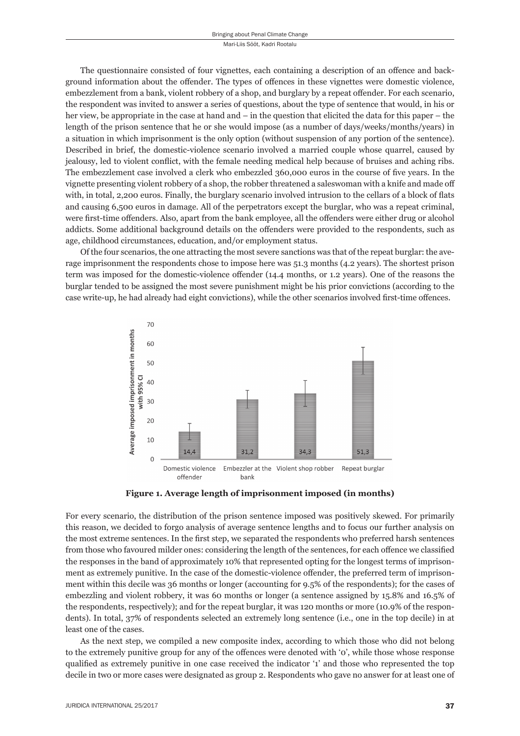The questionnaire consisted of four vignettes, each containing a description of an offence and background information about the offender. The types of offences in these vignettes were domestic violence, embezzlement from a bank, violent robbery of a shop, and burglary by a repeat offender. For each scenario, the respondent was invited to answer a series of questions, about the type of sentence that would, in his or her view, be appropriate in the case at hand and – in the question that elicited the data for this paper – the length of the prison sentence that he or she would impose (as a number of days/weeks/months/years) in a situation in which imprisonment is the only option (without suspension of any portion of the sentence). Described in brief, the domestic-violence scenario involved a married couple whose quarrel, caused by jealousy, led to violent conflict, with the female needing medical help because of bruises and aching ribs. The embezzlement case involved a clerk who embezzled 360,000 euros in the course of five years. In the vignette presenting violent robbery of a shop, the robber threatened a saleswoman with a knife and made off with, in total, 2,200 euros. Finally, the burglary scenario involved intrusion to the cellars of a block of flats and causing 6,500 euros in damage. All of the perpetrators except the burglar, who was a repeat criminal, were first-time offenders. Also, apart from the bank employee, all the offenders were either drug or alcohol addicts. Some additional background details on the offenders were provided to the respondents, such as age, childhood circumstances, education, and/or employment status.

Of the four scenarios, the one attracting the most severe sanctions was that of the repeat burglar: the average imprisonment the respondents chose to impose here was 51.3 months (4.2 years). The shortest prison term was imposed for the domestic-violence offender (14.4 months, or 1.2 years). One of the reasons the burglar tended to be assigned the most severe punishment might be his prior convictions (according to the case write-up, he had already had eight convictions), while the other scenarios involved first-time offences.



**Figure 1. Average length of imprisonment imposed (in months)** 

For every scenario, the distribution of the prison sentence imposed was positively skewed. For primarily this reason, we decided to forgo analysis of average sentence lengths and to focus our further analysis on the most extreme sentences. In the first step, we separated the respondents who preferred harsh sentences from those who favoured milder ones: considering the length of the sentences, for each offence we classified the responses in the band of approximately 10% that represented opting for the longest terms of imprisonment as extremely punitive. In the case of the domestic-violence offender, the preferred term of imprisonment within this decile was 36 months or longer (accounting for 9.5% of the respondents); for the cases of embezzling and violent robbery, it was 60 months or longer (a sentence assigned by 15.8% and 16.5% of the respondents, respectively); and for the repeat burglar, it was 120 months or more (10.9% of the respondents). In total, 37% of respondents selected an extremely long sentence (i.e., one in the top decile) in at least one of the cases.

As the next step, we compiled a new composite index, according to which those who did not belong to the extremely punitive group for any of the offences were denoted with 'o', while those whose response qualified as extremely punitive in one case received the indicator '1' and those who represented the top decile in two or more cases were designated as group 2. Respondents who gave no answer for at least one of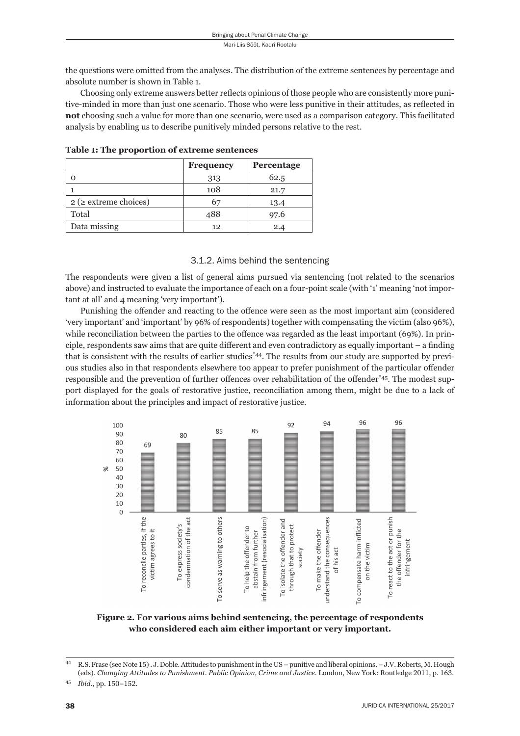the questions were omitted from the analyses. The distribution of the extreme sentences by percentage and absolute number is shown in Table 1.

Choosing only extreme answers better reflects opinions of those people who are consistently more punitive-minded in more than just one scenario. Those who were less punitive in their attitudes, as reflected in **not** choosing such a value for more than one scenario, were used as a comparison category. This facilitated analysis by enabling us to describe punitively minded persons relative to the rest.

|                              | Frequency      | Percentage |
|------------------------------|----------------|------------|
|                              | 313            | 62.5       |
|                              | 108            | 21.7       |
| $2$ ( $\ge$ extreme choices) | O <sup>7</sup> | 13.4       |
| Total                        | 488            | 97.6       |
| Data missing                 | 12             | 2.4        |

**Table 1: The proportion of extreme sentences**

#### 3.1.2. Aims behind the sentencing

The respondents were given a list of general aims pursued via sentencing (not related to the scenarios above) and instructed to evaluate the importance of each on a four-point scale (with '1' meaning 'not important at all' and 4 meaning 'very important').

Punishing the offender and reacting to the offence were seen as the most important aim (considered 'very important' and 'important' by 96% of respondents) together with compensating the victim (also 96%), while reconciliation between the parties to the offence was regarded as the least important  $(69\%)$ . In principle, respondents saw aims that are quite different and even contradictory as equally important – a finding that is consistent with the results of earlier studies\*44. The results from our study are supported by previous studies also in that respondents elsewhere too appear to prefer punishment of the particular offender responsible and the prevention of further offences over rehabilitation of the offender\*45. The modest support displayed for the goals of restorative justice, reconciliation among them, might be due to a lack of information about the principles and impact of restorative justice.



**Figure 2. For various aims behind sentencing, the percentage of respondents who considered each aim either important or very important.**

<sup>&</sup>lt;sup>44</sup> R.S. Frase (see Note 15). J. Doble. Attitudes to punishment in the US – punitive and liberal opinions. – J.V. Roberts, M. Hough (eds). *Changing Attitudes to Punishment. Public Opinion, Crime and Justice*. London, New York: Routledge 2011, p. 163.

<sup>45</sup> *Ibid.*, pp. 150-152.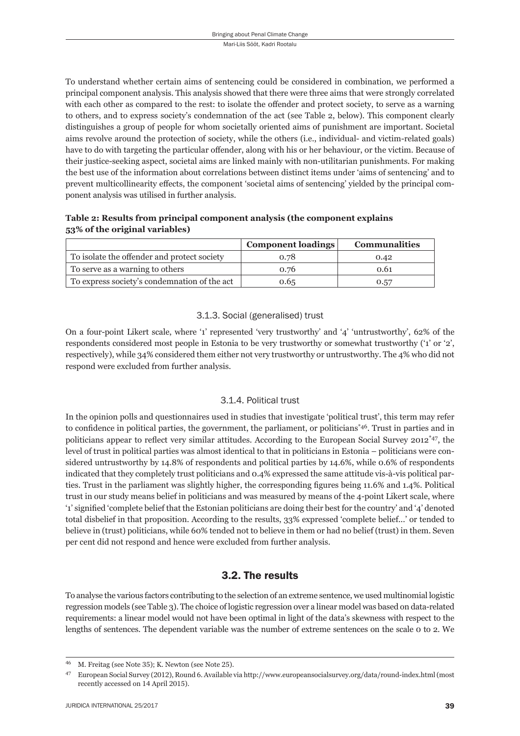To understand whether certain aims of sentencing could be considered in combination, we performed a principal component analysis. This analysis showed that there were three aims that were strongly correlated with each other as compared to the rest: to isolate the offender and protect society, to serve as a warning to others, and to express society's condemnation of the act (see Table 2, below). This component clearly distinguishes a group of people for whom societally oriented aims of punishment are important. Societal aims revolve around the protection of society, while the others (i.e., individual- and victim-related goals) have to do with targeting the particular offender, along with his or her behaviour, or the victim. Because of their justice-seeking aspect, societal aims are linked mainly with non-utilitarian punishments. For making the best use of the information about correlations between distinct items under 'aims of sentencing' and to prevent multicollinearity effects, the component 'societal aims of sentencing' yielded by the principal component analysis was utilised in further analysis.

**Table 2: Results from principal component analysis (the component explains 53% of the original variables)**

|                                              | <b>Component loadings</b> | <b>Communalities</b> |
|----------------------------------------------|---------------------------|----------------------|
| To isolate the offender and protect society  | 0.78                      | 0.42                 |
| To serve as a warning to others              | 0.76                      | 0.61                 |
| To express society's condemnation of the act | 0.65                      | 0.57                 |

#### 3.1.3. Social (generalised) trust

On a four-point Likert scale, where '1' represented 'very trustworthy' and '4' 'untrustworthy', 62% of the respondents considered most people in Estonia to be very trustworthy or somewhat trustworthy ('1' or '2', respectively), while 34% considered them either not very trustworthy or untrustworthy. The 4% who did not respond were excluded from further analysis.

#### 3.1.4. Political trust

In the opinion polls and questionnaires used in studies that investigate 'political trust', this term may refer to confidence in political parties, the government, the parliament, or politicians<sup>\*46</sup>. Trust in parties and in politicians appear to reflect very similar attitudes. According to the European Social Survey 2012<sup>\*47</sup>, the level of trust in political parties was almost identical to that in politicians in Estonia – politicians were considered untrustworthy by 14.8% of respondents and political parties by 14.6%, while 0.6% of respondents indicated that they completely trust politicians and 0.4% expressed the same attitude vis-à-vis political parties. Trust in the parliament was slightly higher, the corresponding figures being 11.6% and 1.4%. Political trust in our study means belief in politicians and was measured by means of the 4-point Likert scale, where '1' signified 'complete belief that the Estonian politicians are doing their best for the country' and '4' denoted total disbelief in that proposition. According to the results, 33% expressed 'complete belief...' or tended to believe in (trust) politicians, while 60% tended not to believe in them or had no belief (trust) in them. Seven per cent did not respond and hence were excluded from further analysis.

## 3.2. The results

To analyse the various factors contributing to the selection of an extreme sentence, we used multinomial logistic regression models (see Table 3). The choice of logistic regression over a linear model was based on data-related requirements: a linear model would not have been optimal in light of the data's skewness with respect to the lengths of sentences. The dependent variable was the number of extreme sentences on the scale 0 to 2. We

<sup>&</sup>lt;sup>46</sup> M. Freitag (see Note 35); K. Newton (see Note 25).

<sup>&</sup>lt;sup>47</sup> European Social Survey (2012), Round 6. Available via http://www.europeansocialsurvey.org/data/round-index.html (most recently accessed on 14 April 2015).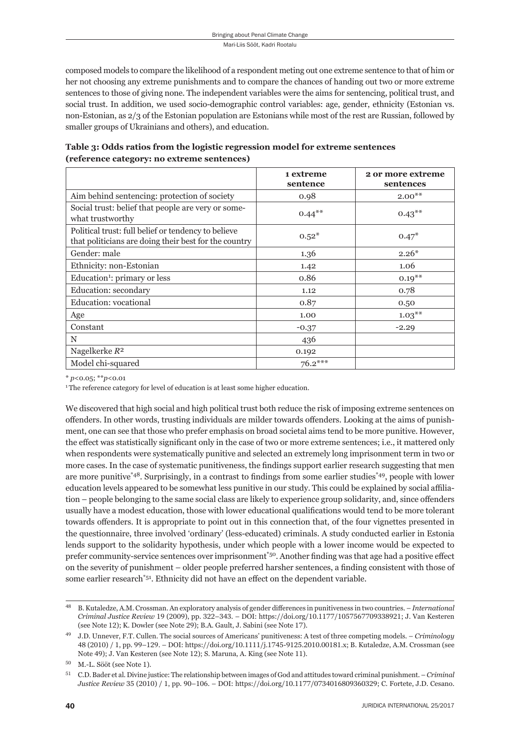composed models to compare the likeli hood of a respondent meting out one extreme sentence to that of him or her not choosing any extreme punishments and to compare the chances of handing out two or more extreme sentences to those of giving none. The independent variables were the aims for sentencing, political trust, and social trust. In addition, we used socio-demographic control variables: age, gender, ethnicity (Estonian vs. non-Estonian, as 2/3 of the Estonian population are Estonians while most of the rest are Russian, followed by smaller groups of Ukrainians and others), and education.

|                                                                                                              | 1 extreme<br>sentence | 2 or more extreme<br>sentences |
|--------------------------------------------------------------------------------------------------------------|-----------------------|--------------------------------|
| Aim behind sentencing: protection of society                                                                 | 0.98                  | $2.00**$                       |
| Social trust: belief that people are very or some-<br>what trustworthy                                       | $0.44***$             | $0.43***$                      |
| Political trust: full belief or tendency to believe<br>that politicians are doing their best for the country | $0.52*$               | $0.47*$                        |
| Gender: male                                                                                                 | 1.36                  | $2.26*$                        |
| Ethnicity: non-Estonian                                                                                      | 1.42                  | 1.06                           |
| Education <sup>1</sup> : primary or less                                                                     | 0.86                  | $0.19***$                      |
| Education: secondary                                                                                         | 1.12                  | 0.78                           |
| Education: vocational                                                                                        | 0.87                  | 0.50                           |
| Age                                                                                                          | 1.00                  | $1.03***$                      |
| Constant                                                                                                     | $-0.37$               | $-2.29$                        |
| N                                                                                                            | 436                   |                                |
| Nagelkerke $R^2$                                                                                             | 0.192                 |                                |
| Model chi-squared                                                                                            | $76.2***$             |                                |

**Table 3: Odds ratios from the logistic regression model for extreme sentences (reference category: no extreme sentences)**

\* *p*<0.05; \*\**p*<0.01

<sup>1</sup>The reference category for level of education is at least some higher education.

We discovered that high social and high political trust both reduce the risk of imposing extreme sentences on offenders. In other words, trusting individuals are milder towards offenders. Looking at the aims of punishment, one can see that those who prefer emphasis on broad societal aims tend to be more punitive. However, the effect was statistically significant only in the case of two or more extreme sentences; i.e., it mattered only when respondents were systematically punitive and selected an extremely long imprisonment term in two or more cases. In the case of systematic punitiveness, the findings support earlier research suggesting that men are more punitive<sup>\*48</sup>. Surprisingly, in a contrast to findings from some earlier studies<sup>\*49</sup>, people with lower education levels appeared to be somewhat less punitive in our study. This could be explained by social affiliation – people belonging to the same social class are likely to experience group solidarity, and, since offenders usually have a modest education, those with lower educational qualifications would tend to be more tolerant towards offenders. It is appropriate to point out in this connection that, of the four vignettes presented in the questionnaire, three involved 'ordinary' (less-educated) criminals. A study conducted earlier in Estonia lends support to the solidarity hypothesis, under which people with a lower income would be expected to prefer community-service sentences over imprisonment<sup>\*50</sup>. Another finding was that age had a positive effect on the severity of punishment – older people preferred harsher sentences, a finding consistent with those of some earlier research $*51$ . Ethnicity did not have an effect on the dependent variable.

ɵɹ B. Kutaledze, A.M. Crossman. An exploratory analysis of gender diff erences in punitiveness in two countries. – *International Criminal Justice Review* 19 (2009), pp. 322-343. – DOI: https://doi.org/10.1177/1057567709338921; J. Van Kesteren (see Note 12); K. Dowler (see Note 29); B.A. Gault, J. Sabini (see Note 17).

ɵɺ J.D. Unnever, F.T. Cullen. The social sources of Americans' punitiveness: A test of three competing models. – *Criminology* 48 (2010) / 1, pp. 99-129. – DOI: https://doi.org/10.1111/j.1745-9125.2010.00181.x; B. Kutaledze, A.M. Crossman (see Note 49); J. Van Kesteren (see Note 12); S. Maruna, A. King (see Note 11).

 $50$  M.-L. Sööt (see Note 1).

ɶɲ C.D. Bader et al. Divine justice: The relationship between images of God and attitudes toward criminal punishment. – *Criminal Justice Review* 35 (2010) / 1, pp. 90-106. - DOI: https://doi.org/10.1177/0734016809360329; C. Fortete, J.D. Cesano.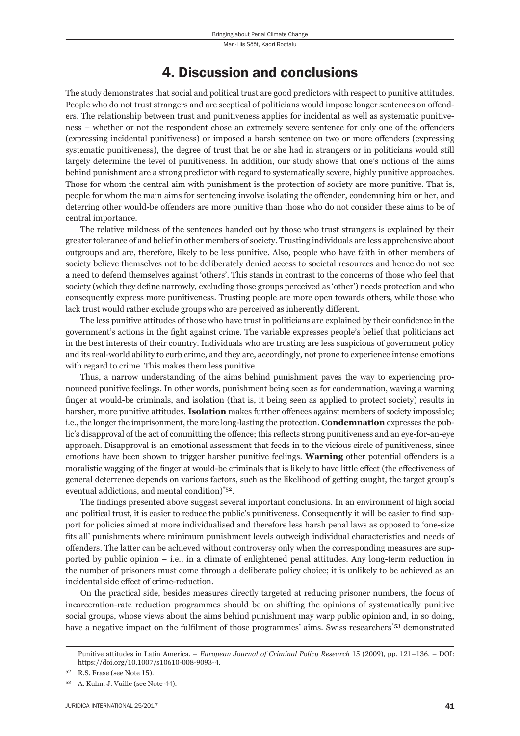## 4. Discussion and conclusions

The study demonstrates that social and political trust are good predictors with respect to punitive attitudes. People who do not trust strangers and are sceptical of politicians would impose longer sentences on offenders. The relationship between trust and punitiveness applies for incidental as well as systematic punitiveness – whether or not the respondent chose an extremely severe sentence for only one of the offenders (expressing incidental punitiveness) or imposed a harsh sentence on two or more offenders (expressing systematic punitiveness), the degree of trust that he or she had in strangers or in politicians would still largely determine the level of punitiveness. In addition, our study shows that one's notions of the aims behind punishment are a strong predictor with regard to systematically severe, highly punitive approaches. Those for whom the central aim with punishment is the protection of society are more punitive. That is, people for whom the main aims for sentencing involve isolating the offender, condemning him or her, and deterring other would-be offenders are more punitive than those who do not consider these aims to be of central importance.

The relative mildness of the sentences handed out by those who trust strangers is explained by their greater tolerance of and belief in other members of society. Trusting individuals are less apprehensive about outgroups and are, therefore, likely to be less punitive. Also, people who have faith in other members of society believe themselves not to be deliberately denied access to societal resources and hence do not see a need to defend themselves against 'others'. This stands in contrast to the concerns of those who feel that society (which they define narrowly, excluding those groups perceived as 'other') needs protection and who consequently express more punitiveness. Trusting people are more open towards others, while those who lack trust would rather exclude groups who are perceived as inherently different.

The less punitive attitudes of those who have trust in politicians are explained by their confidence in the government's actions in the fight against crime. The variable expresses people's belief that politicians act in the best interests of their country. Individuals who are trusting are less suspicious of government policy and its real-world ability to curb crime, and they are, accordingly, not prone to experience intense emotions with regard to crime. This makes them less punitive.

Thus, a narrow understanding of the aims behind punishment paves the way to experiencing pronounced punitive feelings. In other words, punishment being seen as for condemnation, waving a warning finger at would-be criminals, and isolation (that is, it being seen as applied to protect society) results in harsher, more punitive attitudes. **Isolation** makes further offences against members of society impossible; i.e., the longer the imprisonment, the more long-lasting the protection. **Condemnation** expresses the public's disapproval of the act of committing the offence; this reflects strong punitiveness and an eye-for-an-eye approach. Disapproval is an emotional assessment that feeds in to the vicious circle of punitiveness, since emotions have been shown to trigger harsher punitive feelings. Warning other potential offenders is a moralistic wagging of the finger at would-be criminals that is likely to have little effect (the effectiveness of general deterrence depends on various factors, such as the likelihood of getting caught, the target group's eventual addictions, and mental condition)\*52.

The findings presented above suggest several important conclusions. In an environment of high social and political trust, it is easier to reduce the public's punitiveness. Consequently it will be easier to find support for policies aimed at more individualised and therefore less harsh penal laws as opposed to 'one-size fits all' punishments where minimum punishment levels outweigh individual characteristics and needs of offenders. The latter can be achieved without controversy only when the corresponding measures are supported by public opinion – i.e., in a climate of enlightened penal attitudes. Any long-term reduction in the number of prisoners must come through a deliberate policy choice; it is unlikely to be achieved as an incidental side effect of crime-reduction.

On the practical side, besides measures directly targeted at reducing prisoner numbers, the focus of incarceration-rate reduction programmes should be on shifting the opinions of systematically punitive social groups, whose views about the aims behind punishment may warp public opinion and, in so doing, have a negative impact on the fulfilment of those programmes' aims. Swiss researchers\*53 demonstrated

Punitive attitudes in Latin America. – *European Journal of Criminal Policy Research* 15 (2009), pp. 121-136. – DOI: https://doi.org/10.1007/s10610-008-9093-4.

R.S. Frase (see Note 15).

<sup>&</sup>lt;sup>53</sup> A. Kuhn, J. Vuille (see Note 44).